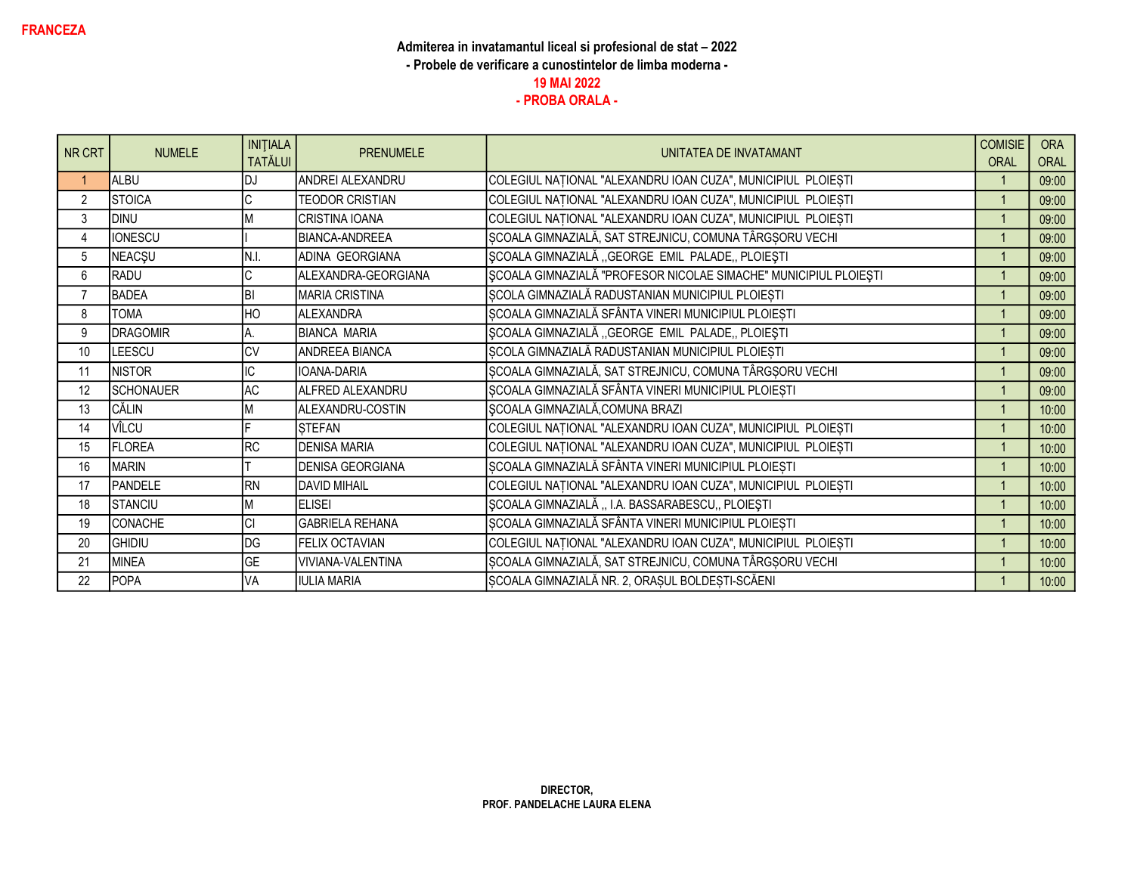| NR CRT         | <b>NUMELE</b>    | <b>INITIALA</b><br><b>TATĂLUI</b> | <b>PRENUMELE</b>        | UNITATEA DE INVATAMANT                                           | <b>COMISIE</b><br><b>ORAL</b> | <b>ORA</b><br>ORAL |
|----------------|------------------|-----------------------------------|-------------------------|------------------------------------------------------------------|-------------------------------|--------------------|
|                | <b>ALBU</b>      | DJ                                | ANDREI ALEXANDRU        | COLEGIUL NAȚIONAL "ALEXANDRU IOAN CUZA", MUNICIPIUL PLOIEȘTI     |                               | 09:00              |
| $\overline{2}$ | STOICA           |                                   | <b>TEODOR CRISTIAN</b>  | COLEGIUL NAȚIONAL "ALEXANDRU IOAN CUZA", MUNICIPIUL PLOIEȘTI     | $\overline{1}$                | 09:00              |
| 3              | DINU             |                                   | CRISTINA IOANA          | COLEGIUL NAȚIONAL "ALEXANDRU IOAN CUZA", MUNICIPIUL PLOIEȘTI     |                               | 09:00              |
| $\overline{4}$ | <b>IONESCU</b>   |                                   | <b>BIANCA-ANDREEA</b>   | ȘCOALA GIMNAZIALĂ, SAT STREJNICU, COMUNA TÂRGȘORU VECHI          |                               | 09:00              |
| 5              | <b>NEACŞU</b>    | N.I.                              | ADINA GEORGIANA         | ȘCOALA GIMNAZIALĂ "GEORGE EMIL PALADE,, PLOIEȘTI                 |                               | 09:00              |
| 6              | RADU             |                                   | ALEXANDRA-GEORGIANA     | ȘCOALA GIMNAZIALĂ "PROFESOR NICOLAE SIMACHE" MUNICIPIUL PLOIEȘTI |                               | 09:00              |
| $\overline{7}$ | <b>BADEA</b>     | ΙBΙ                               | <b>MARIA CRISTINA</b>   | ȘCOLA GIMNAZIALĂ RADUSTANIAN MUNICIPIUL PLOIEȘTI                 |                               | 09:00              |
| 8              | <b>TOMA</b>      | HO                                | <b>ALEXANDRA</b>        | ȘCOALA GIMNAZIALĂ SFÂNTA VINERI MUNICIPIUL PLOIEȘTI              | $\overline{1}$                | 09:00              |
| 9              | <b>DRAGOMIR</b>  |                                   | BIANCA MARIA            | ȘCOALA GIMNAZIALĂ "GEORGE EMIL PALADE" PLOIEȘTI                  | $\overline{1}$                | 09:00              |
| 10             | <b>LEESCU</b>    | $\overline{\text{CV}}$            | ANDREEA BIANCA          | ȘCOLA GIMNAZIALĂ RADUSTANIAN MUNICIPIUL PLOIEȘTI                 | $\overline{1}$                | 09:00              |
| 11             | <b>NISTOR</b>    | IC                                | <b>IOANA-DARIA</b>      | ȘCOALA GIMNAZIALĂ, SAT STREJNICU, COMUNA TÂRGȘORU VECHI          |                               | 09:00              |
| 12             | <b>SCHONAUER</b> | <b>AC</b>                         | ALFRED ALEXANDRU        | ȘCOALA GIMNAZIALĂ SFÂNTA VINERI MUNICIPIUL PLOIEȘTI              | $\overline{1}$                | 09:00              |
| 13             | CĂLIN            | M                                 | ALEXANDRU-COSTIN        | SCOALA GIMNAZIALĂ, COMUNA BRAZI                                  |                               | 10:00              |
| 14             | VÎLCU            |                                   | <b>STEFAN</b>           | COLEGIUL NAȚIONAL "ALEXANDRU IOAN CUZA", MUNICIPIUL PLOIEȘTI     |                               | 10:00              |
| 15             | <b>FLOREA</b>    | <b>RC</b>                         | <b>DENISA MARIA</b>     | COLEGIUL NAȚIONAL "ALEXANDRU IOAN CUZA", MUNICIPIUL PLOIEȘTI     |                               | 10:00              |
| 16             | <b>MARIN</b>     |                                   | <b>DENISA GEORGIANA</b> | ȘCOALA GIMNAZIALĂ SFÂNTA VINERI MUNICIPIUL PLOIEȘTI              |                               | 10:00              |
| 17             | PANDELE          | <b>RN</b>                         | <b>DAVID MIHAIL</b>     | COLEGIUL NAȚIONAL "ALEXANDRU IOAN CUZA", MUNICIPIUL PLOIEȘTI     |                               | 10:00              |
| 18             | <b>STANCIU</b>   | M                                 | <b>IELISEI</b>          | ȘCOALA GIMNAZIALĂ "I.A. BASSARABESCU" PLOIEȘTI                   |                               | 10:00              |
| 19             | CONACHE          | <b>CI</b>                         | <b>GABRIELA REHANA</b>  | ȘCOALA GIMNAZIALĂ SFÂNTA VINERI MUNICIPIUL PLOIEȘTI              |                               | 10:00              |
| 20             | <b>GHIDIU</b>    | DG                                | FELIX OCTAVIAN          | COLEGIUL NAȚIONAL "ALEXANDRU IOAN CUZA", MUNICIPIUL PLOIEȘTI     |                               | 10:00              |
| 21             | MINEA            | <b>GE</b>                         | VIVIANA-VALENTINA       | ȘCOALA GIMNAZIALĂ, SAT STREJNICU, COMUNA TÂRGȘORU VECHI          | $\overline{1}$                | 10:00              |
| 22             | <b>POPA</b>      | VA                                | <b>IULIA MARIA</b>      | ȘCOALA GIMNAZIALĂ NR. 2, ORAȘUL BOLDEȘTI-SCĂENI                  |                               | 10:00              |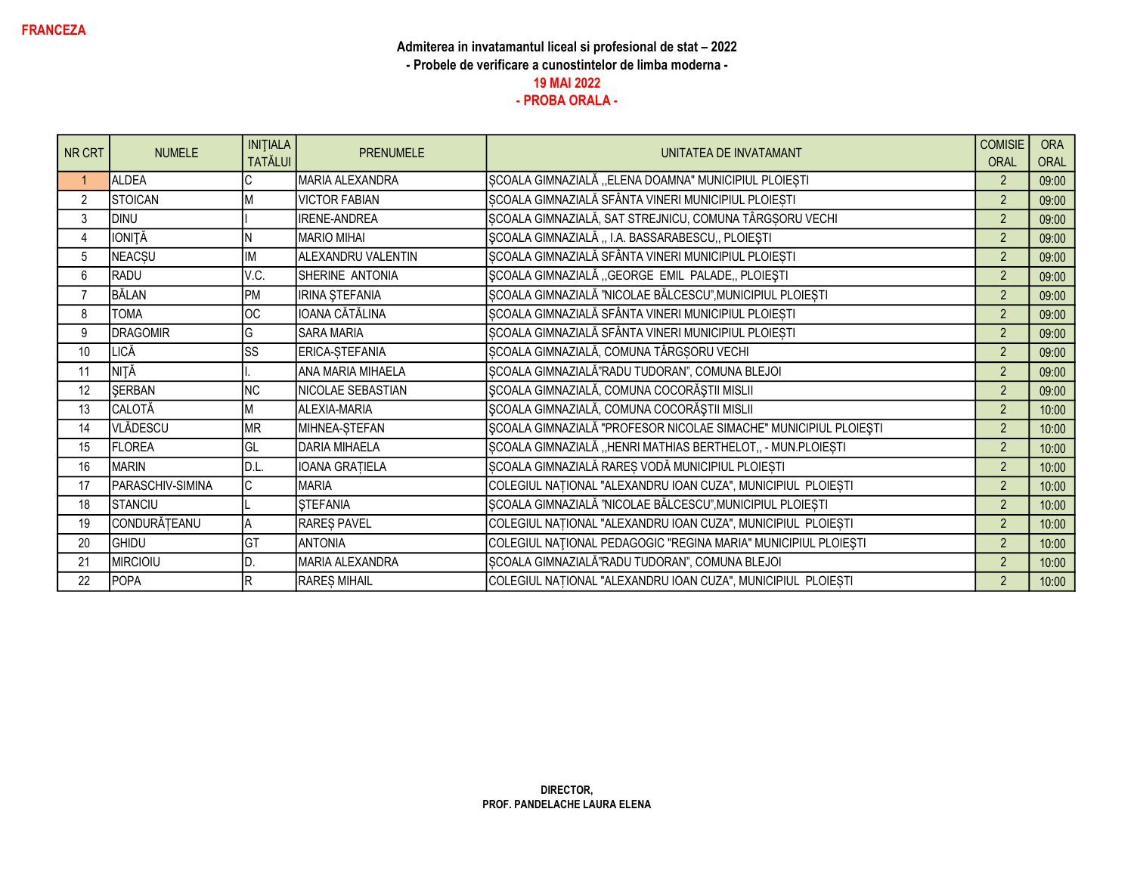| NR CRT         | <b>NUMELE</b>    | <b>INITIALA</b><br><b>TATĂLUI</b> | <b>PRENUMELE</b>      | UNITATEA DE INVATAMANT                                           | <b>COMISIE</b><br><b>ORAL</b> | <b>ORA</b><br>ORAL |
|----------------|------------------|-----------------------------------|-----------------------|------------------------------------------------------------------|-------------------------------|--------------------|
|                | <b>ALDEA</b>     |                                   | MARIA ALEXANDRA       | ȘCOALA GIMNAZIALĂ "ELENA DOAMNA" MUNICIPIUL PLOIEȘTI             | 2                             | 09:00              |
| $\overline{2}$ | STOICAN          |                                   | <b>VICTOR FABIAN</b>  | ȘCOALA GIMNAZIALĂ SFÂNTA VINERI MUNICIPIUL PLOIEȘTI              | $\overline{2}$                | 09:00              |
| 3              | DINU             |                                   | <b>IRENE-ANDREA</b>   | SCOALA GIMNAZIALĂ, SAT STREJNICU, COMUNA TÂRGȘORU VECHI          | $\overline{2}$                | 09:00              |
| 4              | <b>IONITĂ</b>    |                                   | <b>MARIO MIHAI</b>    | ȘCOALA GIMNAZIALĂ,, I.A. BASSARABESCU,, PLOIEȘTI                 | $\overline{2}$                | 09:00              |
| 5              | <b>NEACSU</b>    | IM                                | ALEXANDRU VALENTIN    | ȘCOALA GIMNAZIALĂ SFÂNTA VINERI MUNICIPIUL PLOIEȘTI              | $\overline{2}$                | 09:00              |
| 6              | RADU             | V.C.                              | SHERINE ANTONIA       | ȘCOALA GIMNAZIALĂ "GEORGE EMIL PALADE, PLOIEȘTI                  | $\overline{2}$                | 09:00              |
| $\overline{7}$ | BĂLAN            | PM                                | <b>IRINA ŞTEFANIA</b> | ȘCOALA GIMNAZIALĂ "NICOLAE BĂLCESCU", MUNICIPIUL PLOIEȘTI        | $\overline{2}$                | 09:00              |
| 8              | <b>TOMA</b>      | <b>OC</b>                         | IOANA CĂTĂLINA        | ȘCOALA GIMNAZIALĂ SFÂNTA VINERI MUNICIPIUL PLOIEȘTI              | $\overline{2}$                | 09:00              |
| 9              | <b>DRAGOMIR</b>  | G                                 | <b>SARA MARIA</b>     | ȘCOALA GIMNAZIALĂ SFÂNTA VINERI MUNICIPIUL PLOIEȘTI              | 2                             | 09:00              |
| 10             | <b>LICĂ</b>      | $\overline{\text{ss}}$            | ERICA-STEFANIA        | ȘCOALA GIMNAZIALĂ, COMUNA TÂRGȘORU VECHI                         | 2                             | 09:00              |
| 11             | <b>NITĂ</b>      |                                   | ANA MARIA MIHAELA     | ȘCOALA GIMNAZIALĂ"RADU TUDORAN", COMUNA BLEJOI                   | $\overline{2}$                | 09:00              |
| 12             | SERBAN           | <b>NC</b>                         | NICOLAE SEBASTIAN     | ȘCOALA GIMNAZIALĂ, COMUNA COCORĂȘTII MISLII                      | $\overline{2}$                | 09:00              |
| 13             | CALOTĂ           | M                                 | ALEXIA-MARIA          | SCOALA GIMNAZIALĂ, COMUNA COCORĂȘTII MISLII                      | 2                             | 10:00              |
| 14             | VLĂDESCU         | <b>MR</b>                         | MIHNEA-STEFAN         | ȘCOALA GIMNAZIALĂ "PROFESOR NICOLAE SIMACHE" MUNICIPIUL PLOIEȘTI | $\overline{2}$                | 10:00              |
| 15             | <b>FLOREA</b>    | lgl                               | <b>DARIA MIHAELA</b>  | ȘCOALA GIMNAZIALĂ "HENRI MATHIAS BERTHELOT,, - MUN.PLOIEȘTI      | $\overline{2}$                | 10:00              |
| 16             | <b>MARIN</b>     | D.L.                              | IOANA GRATIELA        | ȘCOALA GIMNAZIALĂ RAREȘ VODĂ MUNICIPIUL PLOIEȘTI                 | $\overline{2}$                | 10:00              |
| 17             | PARASCHIV-SIMINA | C                                 | <b>MARIA</b>          | COLEGIUL NAȚIONAL "ALEXANDRU IOAN CUZA", MUNICIPIUL PLOIEȘTI     | $\overline{2}$                | 10:00              |
| 18             | <b>ISTANCIU</b>  |                                   | <b>STEFANIA</b>       | ȘCOALA GIMNAZIALĂ "NICOLAE BĂLCESCU", MUNICIPIUL PLOIEȘTI        | $\overline{2}$                | 10:00              |
| 19             | CONDURĂȚEANU     | A                                 | RAREȘ PAVEL           | COLEGIUL NAȚIONAL "ALEXANDRU IOAN CUZA", MUNICIPIUL PLOIEȘTI     | $\overline{2}$                | 10:00              |
| 20             | <b>GHIDU</b>     | lст                               | <b>ANTONIA</b>        | COLEGIUL NAȚIONAL PEDAGOGIC "REGINA MARIA" MUNICIPIUL PLOIEȘTI   | $\overline{2}$                | 10:00              |
| 21             | <b>MIRCIOIU</b>  |                                   | MARIA ALEXANDRA       | SCOALA GIMNAZIALĂ"RADU TUDORAN", COMUNA BLEJOI                   | $\overline{2}$                | 10:00              |
| 22             | <b>POPA</b>      | R                                 | RAREȘ MIHAIL          | COLEGIUL NAȚIONAL "ALEXANDRU IOAN CUZA", MUNICIPIUL PLOIEȘTI     | $\overline{2}$                | 10:00              |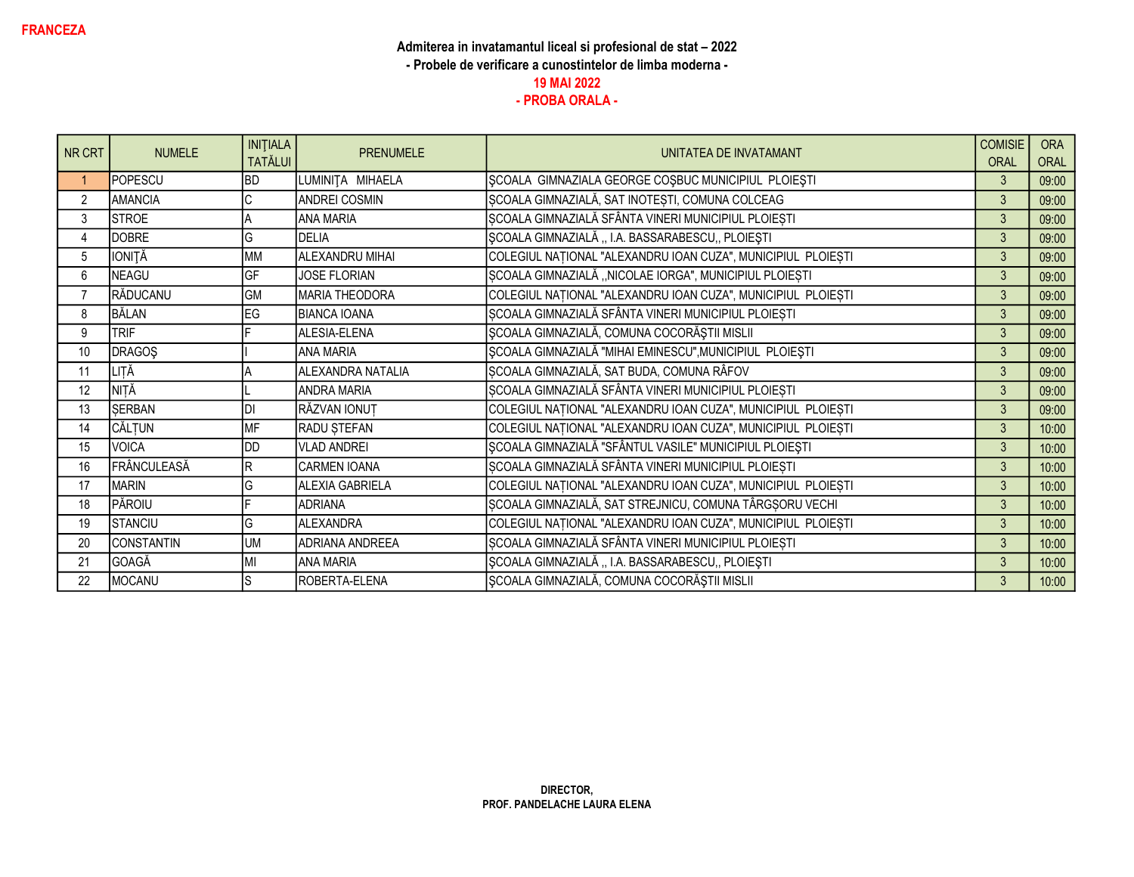| NR CRT         | <b>NUMELE</b> | <b>INITIALA</b><br><b>TATĂLUI</b> | <b>PRENUMELE</b>      | UNITATEA DE INVATAMANT                                       | <b>COMISIE</b><br><b>ORAL</b> | <b>ORA</b><br>ORAL |
|----------------|---------------|-----------------------------------|-----------------------|--------------------------------------------------------------|-------------------------------|--------------------|
|                | POPESCU       | <b>BD</b>                         | LUMINITA MIHAELA      | SCOALA GIMNAZIALA GEORGE COSBUC MUNICIPIUL PLOIESTI          | 3                             | 09:00              |
| $\overline{2}$ | AMANCIA       | C                                 | <b>ANDREI COSMIN</b>  | ȘCOALA GIMNAZIALĂ, SAT INOTEȘTI, COMUNA COLCEAG              | $\mathbf{3}$                  | 09:00              |
| 3              | <b>STROE</b>  |                                   | <b>ANA MARIA</b>      | SCOALA GIMNAZIALĂ SFÂNTA VINERI MUNICIPIUL PLOIESTI          | $\mathfrak{Z}$                | 09:00              |
| 4              | DOBRE         | G                                 | <b>DELIA</b>          | ȘCOALA GIMNAZIALĂ "I.A. BASSARABESCU,, PLOIEȘTI              | $\mathbf{3}$                  | 09:00              |
| 5              | <b>IONITĂ</b> | <b>MM</b>                         | ALEXANDRU MIHAI       | COLEGIUL NAȚIONAL "ALEXANDRU IOAN CUZA", MUNICIPIUL PLOIEȘTI | $\mathbf{3}$                  | 09:00              |
| 6              | NEAGU         | GF                                | <b>JOSE FLORIAN</b>   | SCOALA GIMNAZIALĂ "NICOLAE IORGA", MUNICIPIUL PLOIEȘTI       | 3                             | 09:00              |
| $\overline{7}$ | RĂDUCANU      | <b>GM</b>                         | <b>MARIA THEODORA</b> | COLEGIUL NAȚIONAL "ALEXANDRU IOAN CUZA", MUNICIPIUL PLOIEȘTI | 3                             | 09:00              |
| 8              | BĂLAN         | EG                                | <b>BIANCA IOANA</b>   | ȘCOALA GIMNAZIALĂ SFÂNTA VINERI MUNICIPIUL PLOIEȘTI          | 3                             | 09:00              |
| 9              | <b>TRIF</b>   |                                   | ALESIA-ELENA          | ȘCOALA GIMNAZIALĂ, COMUNA COCORĂȘTII MISLII                  | $\mathbf{3}$                  | 09:00              |
| 10             | <b>DRAGOS</b> |                                   | <b>ANA MARIA</b>      | ȘCOALA GIMNAZIALĂ "MIHAI EMINESCU", MUNICIPIUL PLOIEȘTI      | $\mathbf{3}$                  | 09:00              |
| 11             | LIȚĂ          |                                   | ALEXANDRA NATALIA     | ȘCOALA GIMNAZIALĂ, SAT BUDA, COMUNA RÂFOV                    | $\mathbf{3}$                  | 09:00              |
| 12             | NITĂ          |                                   | <b>ANDRA MARIA</b>    | ȘCOALA GIMNAZIALĂ SFÂNTA VINERI MUNICIPIUL PLOIEȘTI          | 3                             | 09:00              |
| 13             | SERBAN        | DI                                | RĂZVAN IONUT          | COLEGIUL NAȚIONAL "ALEXANDRU IOAN CUZA", MUNICIPIUL PLOIEȘTI | 3                             | 09:00              |
| 14             | CĂLȚUN        | <b>MF</b>                         | RADU ȘTEFAN           | COLEGIUL NAȚIONAL "ALEXANDRU IOAN CUZA", MUNICIPIUL PLOIEȘTI | $\mathfrak{Z}$                | 10:00              |
| 15             | VOICA         | DD                                | VLAD ANDREI           | ȘCOALA GIMNAZIALĂ "SFÂNTUL VASILE" MUNICIPIUL PLOIEȘTI       | 3                             | 10:00              |
| 16             | FRÂNCULEASĂ   | R                                 | CARMEN IOANA          | SCOALA GIMNAZIALĂ SFÂNTA VINERI MUNICIPIUL PLOIEȘTI          | $\mathbf{3}$                  | 10:00              |
| 17             | <b>MARIN</b>  | G                                 | ALEXIA GABRIELA       | COLEGIUL NAȚIONAL "ALEXANDRU IOAN CUZA", MUNICIPIUL PLOIEȘTI | 3                             | 10:00              |
| 18             | PĂROIU        |                                   | <b>ADRIANA</b>        | ȘCOALA GIMNAZIALĂ, SAT STREJNICU, COMUNA TÂRGȘORU VECHI      | 3                             | 10:00              |
| 19             | STANCIU       | G                                 | <b>ALEXANDRA</b>      | COLEGIUL NAȚIONAL "ALEXANDRU IOAN CUZA", MUNICIPIUL PLOIEȘTI | $\mathbf{3}$                  | 10:00              |
| 20             | CONSTANTIN    | <b>UM</b>                         | ADRIANA ANDREEA       | ȘCOALA GIMNAZIALĂ SFÂNTA VINERI MUNICIPIUL PLOIEȘTI          | 3                             | 10:00              |
| 21             | GOAGĂ         | MI                                | <b>ANA MARIA</b>      | SCOALA GIMNAZIALĂ "I.A. BASSARABESCU,, PLOIEȘTI              | $\mathbf{3}$                  | 10:00              |
| 22             | MOCANU        |                                   | ROBERTA-ELENA         | SCOALA GIMNAZIALĂ, COMUNA COCORĂȘTII MISLII                  | $\mathbf{3}$                  | 10:00              |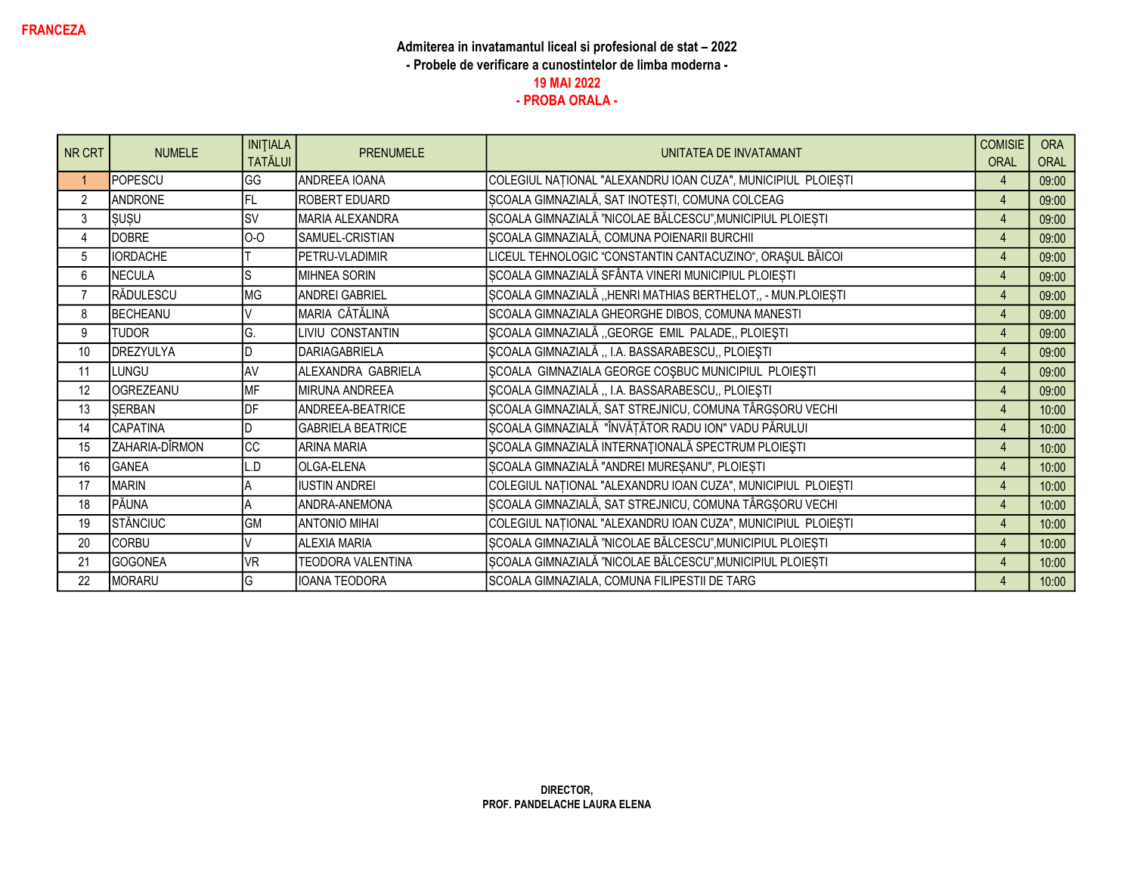| NR CRT         | <b>NUMELE</b>   | <b>INITIALA</b><br><b>TATĂLUI</b> | <b>PRENUMELE</b>         | UNITATEA DE INVATAMANT                                       | <b>COMISIE</b><br><b>ORAL</b> | <b>ORA</b><br>ORAL |
|----------------|-----------------|-----------------------------------|--------------------------|--------------------------------------------------------------|-------------------------------|--------------------|
|                | POPESCU         | GG                                | ANDREEA IOANA            | COLEGIUL NAȚIONAL "ALEXANDRU IOAN CUZA", MUNICIPIUL PLOIEȘTI | $\overline{4}$                | 09:00              |
| $\overline{2}$ | ANDRONE         | FL.                               | <b>ROBERT EDUARD</b>     | ȘCOALA GIMNAZIALĂ, SAT INOTEȘTI, COMUNA COLCEAG              | $\overline{4}$                | 09:00              |
| 3              | SUŞU            | lsv                               | IMARIA ALEXANDRA         | SCOALA GIMNAZIALĂ "NICOLAE BĂLCESCU", MUNICIPIUL PLOIEȘTI    | $\overline{4}$                | 09:00              |
| 4              | DOBRE           | $0-0$                             | SAMUEL-CRISTIAN          | ȘCOALA GIMNAZIALĂ, COMUNA POIENARII BURCHII                  | $\overline{4}$                | 09:00              |
| 5              | <b>IORDACHE</b> |                                   | PETRU-VLADIMIR           | LICEUL TEHNOLOGIC "CONSTANTIN CANTACUZINO", ORAȘUL BĂICOI    | $\overline{4}$                | 09:00              |
| 6              | NECULA          |                                   | <b>IMIHNEA SORIN</b>     | SCOALA GIMNAZIALĂ SFÂNTA VINERI MUNICIPIUL PLOIESTI          | $\overline{4}$                | 09:00              |
| 7              | RĂDULESCU       | <b>MG</b>                         | <b>ANDREI GABRIEL</b>    | ȘCOALA GIMNAZIALĂ "HENRI MATHIAS BERTHELOT,, - MUN.PLOIEȘTI  | $\overline{4}$                | 09:00              |
| 8              | BECHEANU        |                                   | MARIA CĂTĂLINĂ           | SCOALA GIMNAZIALA GHEORGHE DIBOS, COMUNA MANESTI             | $\overline{4}$                | 09:00              |
| 9              | <b>TUDOR</b>    | G.                                | LIVIU CONSTANTIN         | ȘCOALA GIMNAZIALĂ "GEORGE EMIL PALADE, PLOIEȘTI              | $\overline{A}$                | 09:00              |
| 10             | DREZYULYA       |                                   | DARIAGABRIELA            | ȘCOALA GIMNAZIALĂ "I.A. BASSARABESCU" PLOIEȘTI               | $\overline{4}$                | 09:00              |
| 11             | LUNGU           | AV                                | ALEXANDRA GABRIELA       | SCOALA GIMNAZIALA GEORGE COSBUC MUNICIPIUL PLOIESTI          | $\overline{4}$                | 09:00              |
| 12             | OGREZEANU       | <b>MF</b>                         | MIRUNA ANDREEA           | ȘCOALA GIMNAZIALĂ "I.A. BASSARABESCU" PLOIEȘTI               | $\overline{4}$                | 09:00              |
| 13             | SERBAN          | DF                                | ANDREEA-BEATRICE         | SCOALA GIMNAZIALĂ, SAT STREJNICU, COMUNA TÂRGȘORU VECHI      | $\overline{4}$                | 10:00              |
| 14             | CAPATINA        |                                   | <b>GABRIELA BEATRICE</b> | ȘCOALA GIMNAZIALĂ "ÎNVĂȚĂTOR RADU ION" VADU PĂRULUI          | $\overline{4}$                | 10:00              |
| 15             | ZAHARIA-DÎRMON  | <b>CC</b>                         | <b>ARINA MARIA</b>       | SCOALA GIMNAZIALĂ INTERNAȚIONALĂ SPECTRUM PLOIEȘTI           | $\overline{4}$                | 10:00              |
| 16             | <b>GANEA</b>    | Q.                                | <b>OLGA-ELENA</b>        | ȘCOALA GIMNAZIALĂ "ANDREI MUREȘANU", PLOIEȘTI                | $\overline{4}$                | 10:00              |
| 17             | <b>MARIN</b>    |                                   | <b>IUSTIN ANDREI</b>     | COLEGIUL NAȚIONAL "ALEXANDRU IOAN CUZA", MUNICIPIUL PLOIEȘTI | 4                             | 10:00              |
| 18             | PĂUNA           |                                   | ANDRA-ANEMONA            | ȘCOALA GIMNAZIALĂ, SAT STREJNICU, COMUNA TÂRGȘORU VECHI      | $\overline{4}$                | 10:00              |
| 19             | STĂNCIUC        | GM                                | <b>ANTONIO MIHAI</b>     | COLEGIUL NAȚIONAL "ALEXANDRU IOAN CUZA", MUNICIPIUL PLOIEȘTI | $\overline{4}$                | 10:00              |
| 20             | <b>CORBU</b>    |                                   | <b>ALEXIA MARIA</b>      | ȘCOALA GIMNAZIALĂ "NICOLAE BĂLCESCU", MUNICIPIUL PLOIEȘTI    | $\overline{4}$                | 10:00              |
| 21             | GOGONEA         | <b>VR</b>                         | <b>TEODORA VALENTINA</b> | ȘCOALA GIMNAZIALĂ "NICOLAE BĂLCESCU", MUNICIPIUL PLOIEȘTI    | $\overline{4}$                | 10:00              |
| 22             | MORARU          | G                                 | IOANA TEODORA            | SCOALA GIMNAZIALA, COMUNA FILIPESTII DE TARG                 | $\overline{A}$                | 10:00              |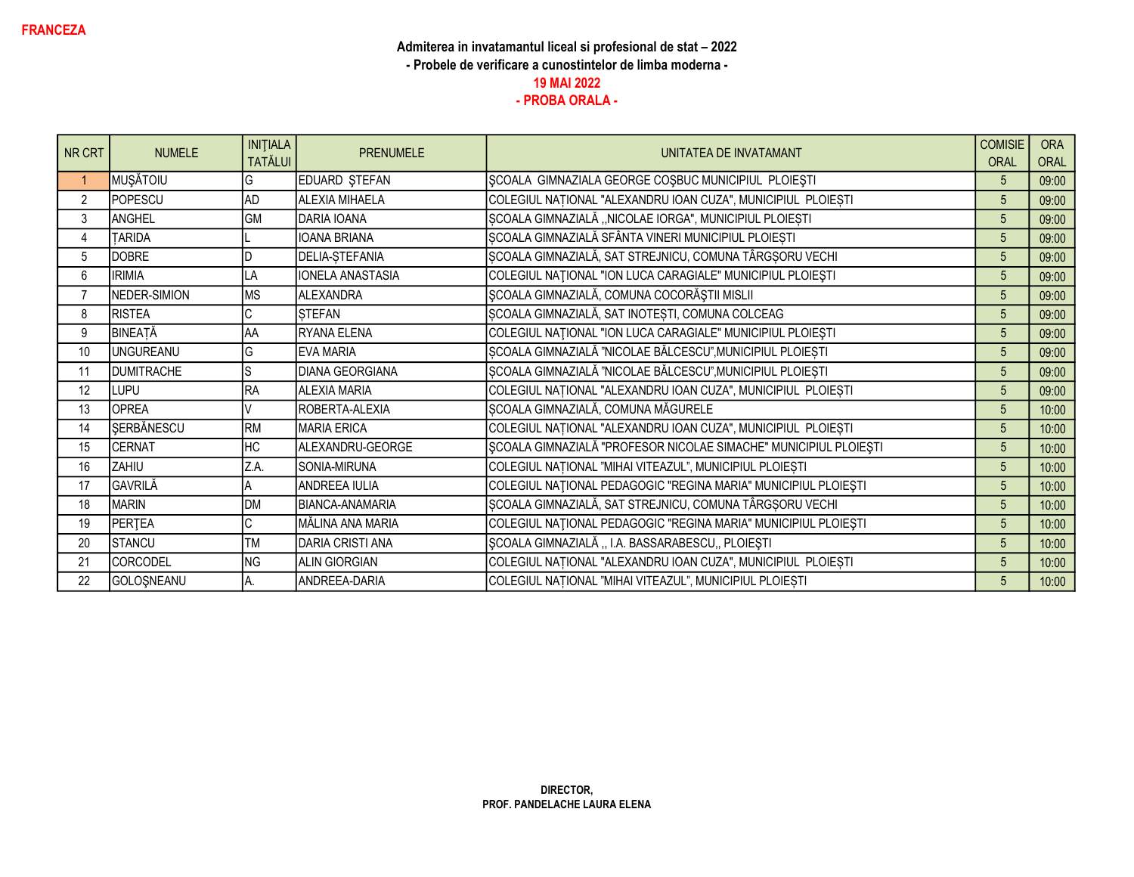| NR CRT         | <b>NUMELE</b>     | <b>INITIALA</b><br><b>TATĂLUI</b> | <b>PRENUMELE</b>        | UNITATEA DE INVATAMANT                                           | <b>COMISIE</b><br>ORAL | <b>ORA</b><br>ORAL |
|----------------|-------------------|-----------------------------------|-------------------------|------------------------------------------------------------------|------------------------|--------------------|
|                | MUŞĂTOIU          | G                                 | EDUARD STEFAN           | SCOALA GIMNAZIALA GEORGE COSBUC MUNICIPIUL PLOIESTI              | 5                      | 09:00              |
| $\overline{2}$ | POPESCU           | <b>AD</b>                         | <b>ALEXIA MIHAELA</b>   | COLEGIUL NAȚIONAL "ALEXANDRU IOAN CUZA", MUNICIPIUL PLOIEȘTI     | 5                      | 09:00              |
| 3              | ANGHEL            | <b>GM</b>                         | DARIA IOANA             | SCOALA GIMNAZIALĂ "NICOLAE IORGA", MUNICIPIUL PLOIEȘTI           | 5                      | 09:00              |
| 4              | <b>TARIDA</b>     |                                   | <b>IOANA BRIANA</b>     | ȘCOALA GIMNAZIALĂ SFÂNTA VINERI MUNICIPIUL PLOIEȘTI              | 5                      | 09:00              |
| 5              | <b>DOBRE</b>      |                                   | DELIA-STEFANIA          | ȘCOALA GIMNAZIALĂ, SAT STREJNICU, COMUNA TÂRGȘORU VECHI          | 5                      | 09:00              |
| 6              | <b>IRIMIA</b>     | LA                                | <b>IONELA ANASTASIA</b> | COLEGIUL NAȚIONAL "ION LUCA CARAGIALE" MUNICIPIUL PLOIEȘTI       | 5                      | 09:00              |
| $\overline{7}$ | NEDER-SIMION      | <b>MS</b>                         | <b>ALEXANDRA</b>        | ȘCOALA GIMNAZIALĂ, COMUNA COCORĂȘTII MISLII                      | 5                      | 09:00              |
| 8              | <b>RISTEA</b>     | C                                 | <b>STEFAN</b>           | ȘCOALA GIMNAZIALĂ, SAT INOTEȘTI, COMUNA COLCEAG                  | 5                      | 09:00              |
| 9              | BINEATĂ           | AA                                | <b>IRYANA ELENA</b>     | COLEGIUL NAȚIONAL "ION LUCA CARAGIALE" MUNICIPIUL PLOIEȘTI       | 5                      | 09:00              |
| 10             | <b>UNGUREANU</b>  | G                                 | EVA MARIA               | ȘCOALA GIMNAZIALĂ "NICOLAE BĂLCESCU", MUNICIPIUL PLOIEȘTI        | 5                      | 09:00              |
| 11             | <b>DUMITRACHE</b> |                                   | <b>DIANA GEORGIANA</b>  | ȘCOALA GIMNAZIALĂ "NICOLAE BĂLCESCU", MUNICIPIUL PLOIEȘTI        | 5                      | 09:00              |
| 12             | LUPU              | RA                                | <b>ALEXIA MARIA</b>     | COLEGIUL NAȚIONAL "ALEXANDRU IOAN CUZA", MUNICIPIUL PLOIEȘTI     | 5                      | 09:00              |
| 13             | <b>OPREA</b>      |                                   | ROBERTA-ALEXIA          | ȘCOALA GIMNAZIALĂ, COMUNA MĂGURELE                               | 5                      | 10:00              |
| 14             | SERBĂNESCU        | <b>RM</b>                         | <b>MARIA ERICA</b>      | COLEGIUL NAȚIONAL "ALEXANDRU IOAN CUZA", MUNICIPIUL PLOIEȘTI     | 5                      | 10:00              |
| 15             | CERNAT            | HC                                | ALEXANDRU-GEORGE        | ȘCOALA GIMNAZIALĂ "PROFESOR NICOLAE SIMACHE" MUNICIPIUL PLOIEȘTI | 5                      | 10:00              |
| 16             | ZAHIU             | Z.A.                              | SONIA-MIRUNA            | COLEGIUL NAȚIONAL "MIHAI VITEAZUL", MUNICIPIUL PLOIEȘTI          | 5                      | 10:00              |
| 17             | GAVRILĂ           |                                   | ANDREEA IULIA           | COLEGIUL NAȚIONAL PEDAGOGIC "REGINA MARIA" MUNICIPIUL PLOIEȘTI   | 5                      | 10:00              |
| 18             | <b>MARIN</b>      | <b>DM</b>                         | <b>BIANCA-ANAMARIA</b>  | ȘCOALA GIMNAZIALĂ, SAT STREJNICU, COMUNA TÂRGȘORU VECHI          | 5                      | 10:00              |
| 19             | PERTEA            | C                                 | MĂLINA ANA MARIA        | COLEGIUL NAȚIONAL PEDAGOGIC "REGINA MARIA" MUNICIPIUL PLOIEȘTI   | 5                      | 10:00              |
| 20             | STANCU            | <b>TM</b>                         | DARIA CRISTI ANA        | SCOALA GIMNAZIALĂ, I.A. BASSARABESCU, PLOIEȘTI                   | 5                      | 10:00              |
| 21             | <b>CORCODEL</b>   | <b>NG</b>                         | <b>ALIN GIORGIAN</b>    | COLEGIUL NAȚIONAL "ALEXANDRU IOAN CUZA", MUNICIPIUL PLOIEȘTI     | $\overline{5}$         | 10:00              |
| 22             | GOLOŞNEANU        | A.                                | ANDREEA-DARIA           | COLEGIUL NAȚIONAL "MIHAI VITEAZUL", MUNICIPIUL PLOIEȘTI          | 5                      | 10:00              |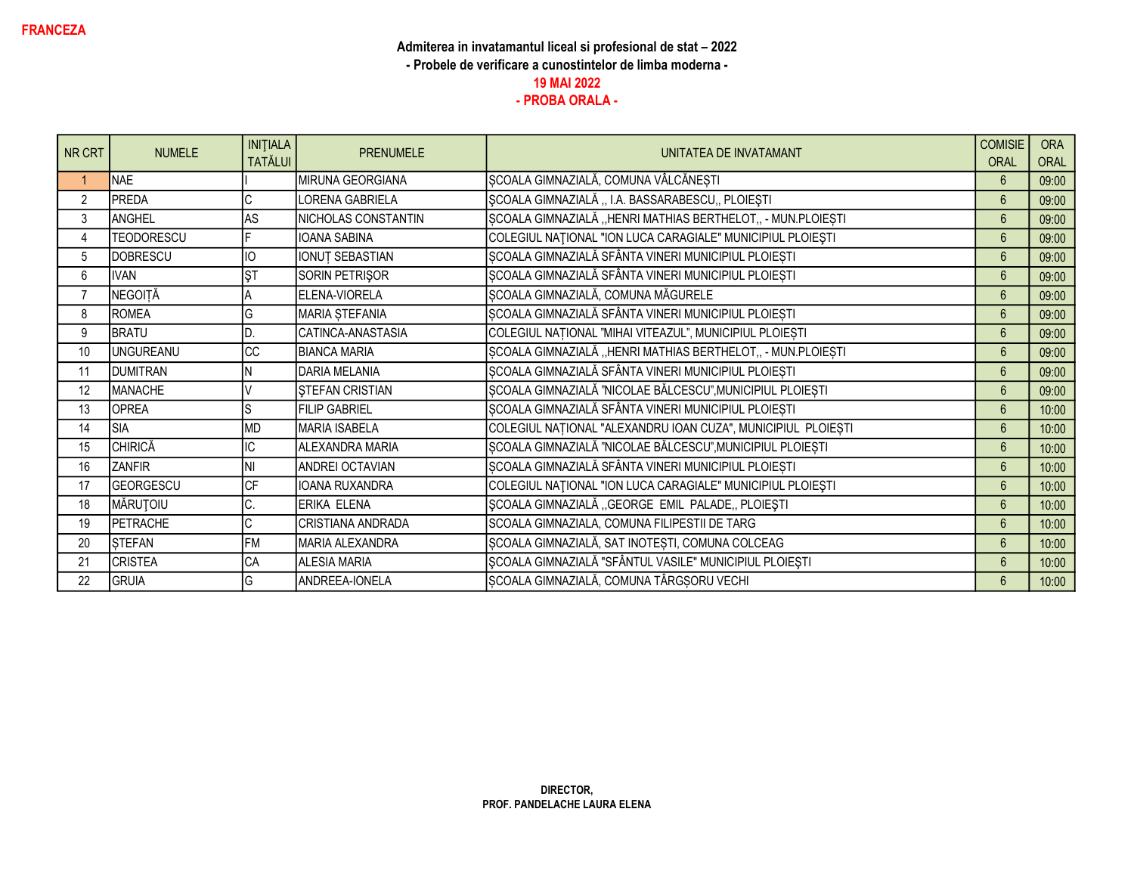| NR CRT         | <b>NUMELE</b>    | <b>INITIALA</b><br><b>TATĂLUI</b> | <b>PRENUMELE</b>       | UNITATEA DE INVATAMANT                                       | <b>COMISIE</b><br><b>ORAL</b> | <b>ORA</b><br>ORAL |
|----------------|------------------|-----------------------------------|------------------------|--------------------------------------------------------------|-------------------------------|--------------------|
|                | <b>NAE</b>       |                                   | MIRUNA GEORGIANA       | ȘCOALA GIMNAZIALĂ, COMUNA VÂLCĂNEȘTI                         | 6                             | 09:00              |
| $\overline{2}$ | PREDA            |                                   | LORENA GABRIELA        | ȘCOALA GIMNAZIALĂ "I.A. BASSARABESCU" PLOIEȘTI               | $6\overline{6}$               | 09:00              |
| 3              | <b>ANGHEL</b>    | AS                                | NICHOLAS CONSTANTIN    | ȘCOALA GIMNAZIALĂ "HENRI MATHIAS BERTHELOT,, - MUN.PLOIEȘTI  | $6\phantom{.}$                | 09:00              |
| 4              | TEODORESCU       |                                   | <b>IOANA SABINA</b>    | COLEGIUL NAȚIONAL "ION LUCA CARAGIALE" MUNICIPIUL PLOIEȘTI   | $6\phantom{1}$                | 09:00              |
| 5              | <b>DOBRESCU</b>  | IO                                | <b>IONUT SEBASTIAN</b> | SCOALA GIMNAZIALĂ SFÂNTA VINERI MUNICIPIUL PLOIEȘTI          | $6\phantom{1}$                | 09:00              |
| 6              | <b>IVAN</b>      | <b>ŞT</b>                         | SORIN PETRIŞOR         | ȘCOALA GIMNAZIALĂ SFÂNTA VINERI MUNICIPIUL PLOIEȘTI          | $6\phantom{1}$                | 09:00              |
| $\overline{7}$ | NEGOITĂ          |                                   | ELENA-VIORELA          | SCOALA GIMNAZIALĂ, COMUNA MĂGURELE                           | $6\phantom{1}$                | 09:00              |
| 8              | <b>ROMEA</b>     | G                                 | MARIA ȘTEFANIA         | ȘCOALA GIMNAZIALĂ SFÂNTA VINERI MUNICIPIUL PLOIEȘTI          | 6                             | 09:00              |
| 9              | <b>BRATU</b>     |                                   | CATINCA-ANASTASIA      | COLEGIUL NAȚIONAL "MIHAI VITEAZUL", MUNICIPIUL PLOIEȘTI      | $6\overline{6}$               | 09:00              |
| 10             | <b>UNGUREANU</b> | $\overline{cc}$                   | <b>BIANCA MARIA</b>    | ȘCOALA GIMNAZIALĂ "HENRI MATHIAS BERTHELOT,, - MUN.PLOIEȘTI  | $6\overline{6}$               | 09:00              |
| 11             | <b>DUMITRAN</b>  |                                   | DARIA MELANIA          | ȘCOALA GIMNAZIALĂ SFÂNTA VINERI MUNICIPIUL PLOIEȘTI          | $6\overline{6}$               | 09:00              |
| 12             | MANACHE          |                                   | <b>STEFAN CRISTIAN</b> | ȘCOALA GIMNAZIALĂ "NICOLAE BĂLCESCU", MUNICIPIUL PLOIEȘTI    | $6\phantom{1}$                | 09:00              |
| 13             | <b>OPREA</b>     |                                   | <b>FILIP GABRIEL</b>   | ȘCOALA GIMNAZIALĂ SFÂNTA VINERI MUNICIPIUL PLOIEȘTI          | $6 \overline{6}$              | 10:00              |
| 14             | <b>SIA</b>       | <b>MD</b>                         | MARIA ISABELA          | COLEGIUL NAȚIONAL "ALEXANDRU IOAN CUZA", MUNICIPIUL PLOIEȘTI | $6\phantom{1}$                | 10:00              |
| 15             | <b>CHIRICĂ</b>   | IC                                | ALEXANDRA MARIA        | ȘCOALA GIMNAZIALĂ "NICOLAE BĂLCESCU", MUNICIPIUL PLOIEȘTI    | $6\phantom{1}$                | 10:00              |
| 16             | <b>ZANFIR</b>    | NI                                | ANDREI OCTAVIAN        | ȘCOALA GIMNAZIALĂ SFÂNTA VINERI MUNICIPIUL PLOIEȘTI          | $6\phantom{1}$                | 10:00              |
| 17             | <b>GEORGESCU</b> | CF                                | IOANA RUXANDRA         | COLEGIUL NAȚIONAL "ION LUCA CARAGIALE" MUNICIPIUL PLOIEȘTI   | $6\phantom{1}$                | 10:00              |
| 18             | MĂRUȚOIU         | C.                                | ERIKA ELENA            | ȘCOALA GIMNAZIALĂ "GEORGE EMIL PALADE, PLOIEȘTI              | $6\phantom{1}$                | 10:00              |
| 19             | PETRACHE         | C                                 | CRISTIANA ANDRADA      | SCOALA GIMNAZIALA, COMUNA FILIPESTII DE TARG                 | $6\phantom{1}$                | 10:00              |
| 20             | STEFAN           | <b>FM</b>                         | MARIA ALEXANDRA        | ȘCOALA GIMNAZIALĂ, SAT INOTEȘTI, COMUNA COLCEAG              | $6\overline{6}$               | 10:00              |
| 21             | <b>CRISTEA</b>   | CA                                | <b>ALESIA MARIA</b>    | ȘCOALA GIMNAZIALĂ "SFÂNTUL VASILE" MUNICIPIUL PLOIEȘTI       | $6\overline{6}$               | 10:00              |
| 22             | <b>GRUIA</b>     | G                                 | ANDREEA-IONELA         | SCOALA GIMNAZIALĂ, COMUNA TÂRGȘORU VECHI                     | $6\phantom{1}$                | 10:00              |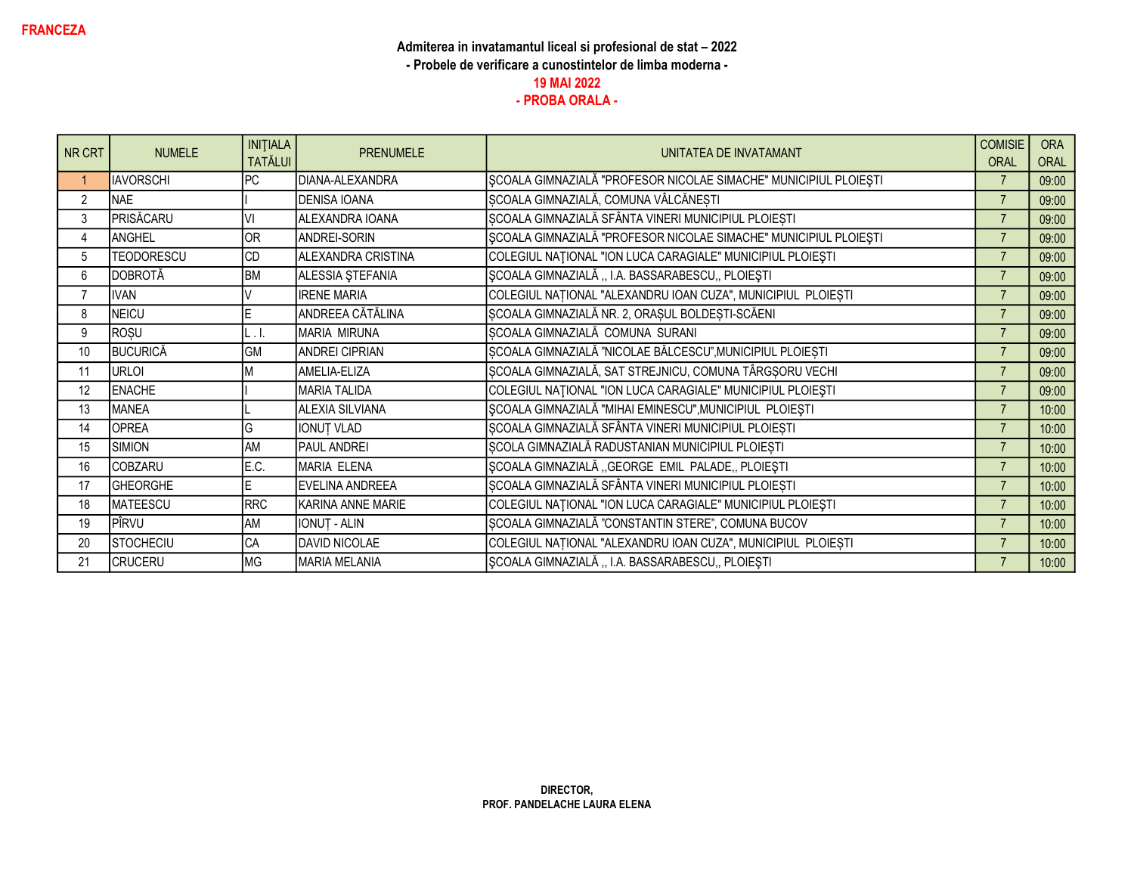| NR CRT         | <b>NUMELE</b>     | <b>INITIALA</b><br><b>TATĂLUI</b> | <b>PRENUMELE</b>       | UNITATEA DE INVATAMANT                                           | <b>COMISIE</b><br><b>ORAL</b> | <b>ORA</b><br><b>ORAL</b> |
|----------------|-------------------|-----------------------------------|------------------------|------------------------------------------------------------------|-------------------------------|---------------------------|
|                | <b>IAVORSCHI</b>  | IPC                               | DIANA-ALEXANDRA        | ȘCOALA GIMNAZIALĂ "PROFESOR NICOLAE SIMACHE" MUNICIPIUL PLOIEȘTI |                               | 09:00                     |
| $\overline{2}$ | <b>NAE</b>        |                                   | <b>DENISA IOANA</b>    | ȘCOALA GIMNAZIALĂ, COMUNA VÂLCĂNEȘTI                             |                               | 09:00                     |
| 3              | PRISĂCARU         | VI                                | ALEXANDRA IOANA        | ȘCOALA GIMNAZIALĂ SFÂNTA VINERI MUNICIPIUL PLOIEȘTI              | $\overline{7}$                | 09:00                     |
| 4              | ANGHEL            | OR                                | ANDREI-SORIN           | ȘCOALA GIMNAZIALĂ "PROFESOR NICOLAE SIMACHE" MUNICIPIUL PLOIEȘTI | $\overline{7}$                | 09:00                     |
| 5              | <b>TEODORESCU</b> | <b>CD</b>                         | ALEXANDRA CRISTINA     | COLEGIUL NATIONAL "ION LUCA CARAGIALE" MUNICIPIUL PLOIEȘTI       | $\overline{7}$                | 09:00                     |
| 6              | DOBROTĂ           | BM                                | ALESSIA ȘTEFANIA       | SCOALA GIMNAZIALĂ "I.A. BASSARABESCU" PLOIEȘTI                   | $\overline{7}$                | 09:00                     |
| $\overline{7}$ | <b>IVAN</b>       |                                   | <b>IRENE MARIA</b>     | COLEGIUL NAȚIONAL "ALEXANDRU IOAN CUZA", MUNICIPIUL PLOIEȘTI     |                               | 09:00                     |
| 8              | NEICU             | E                                 | ANDREEA CĂTĂLINA       | SCOALA GIMNAZIALĂ NR. 2, ORAȘUL BOLDEȘTI-SCĂENI                  | $\overline{7}$                | 09:00                     |
| 9              | ROȘU              | L.I                               | MARIA MIRUNA           | SCOALA GIMNAZIALĂ COMUNA SURANI                                  | $\overline{7}$                | 09:00                     |
| 10             | <b>BUCURICĂ</b>   | GM                                | <b>ANDREI CIPRIAN</b>  | ȘCOALA GIMNAZIALĂ "NICOLAE BĂLCESCU", MUNICIPIUL PLOIEȘTI        |                               | 09:00                     |
| 11             | URLOI             |                                   | AMELIA-ELIZA           | ȘCOALA GIMNAZIALĂ, SAT STREJNICU, COMUNA TÂRGȘORU VECHI          | $\overline{7}$                | 09:00                     |
| 12             | <b>ENACHE</b>     |                                   | <b>MARIA TALIDA</b>    | COLEGIUL NAȚIONAL "ION LUCA CARAGIALE" MUNICIPIUL PLOIEȘTI       | $\overline{7}$                | 09:00                     |
| 13             | <b>MANEA</b>      |                                   | <b>ALEXIA SILVIANA</b> | ȘCOALA GIMNAZIALĂ "MIHAI EMINESCU", MUNICIPIUL PLOIEȘTI          | $\overline{7}$                | 10:00                     |
| 14             | <b>OPREA</b>      | G                                 | <b>IONUT VLAD</b>      | ȘCOALA GIMNAZIALĂ SFÂNTA VINERI MUNICIPIUL PLOIEȘTI              | $\overline{7}$                | 10:00                     |
| 15             | SIMION            | <b>AM</b>                         | PAUL ANDREI            | SCOLA GIMNAZIALĂ RADUSTANIAN MUNICIPIUL PLOIEȘTI                 |                               | 10:00                     |
| 16             | <b>COBZARU</b>    | E.C.                              | MARIA ELENA            | ȘCOALA GIMNAZIALĂ "GEORGE EMIL PALADE, PLOIEȘTI                  | $\overline{7}$                | 10:00                     |
| 17             | <b>GHEORGHE</b>   | E                                 | EVELINA ANDREEA        | ȘCOALA GIMNAZIALĂ SFÂNTA VINERI MUNICIPIUL PLOIEȘTI              | $\overline{7}$                | 10:00                     |
| 18             | <b>MATEESCU</b>   | <b>RRC</b>                        | KARINA ANNE MARIE      | COLEGIUL NATIONAL "ION LUCA CARAGIALE" MUNICIPIUL PLOIEȘTI       | $\overline{7}$                | 10:00                     |
| 19             | PÎRVU             | AM                                | <b>IONUT - ALIN</b>    | ȘCOALA GIMNAZIALĂ "CONSTANTIN STERE", COMUNA BUCOV               |                               | 10:00                     |
| 20             | <b>STOCHECIU</b>  | CA                                | <b>DAVID NICOLAE</b>   | COLEGIUL NAȚIONAL "ALEXANDRU IOAN CUZA", MUNICIPIUL PLOIEȘTI     | $\overline{7}$                | 10:00                     |
| 21             | <b>CRUCERU</b>    | <b>MG</b>                         | <b>MARIA MELANIA</b>   | SCOALA GIMNAZIALĂ, I.A. BASSARABESCU,, PLOIEȘTI                  |                               | 10:00                     |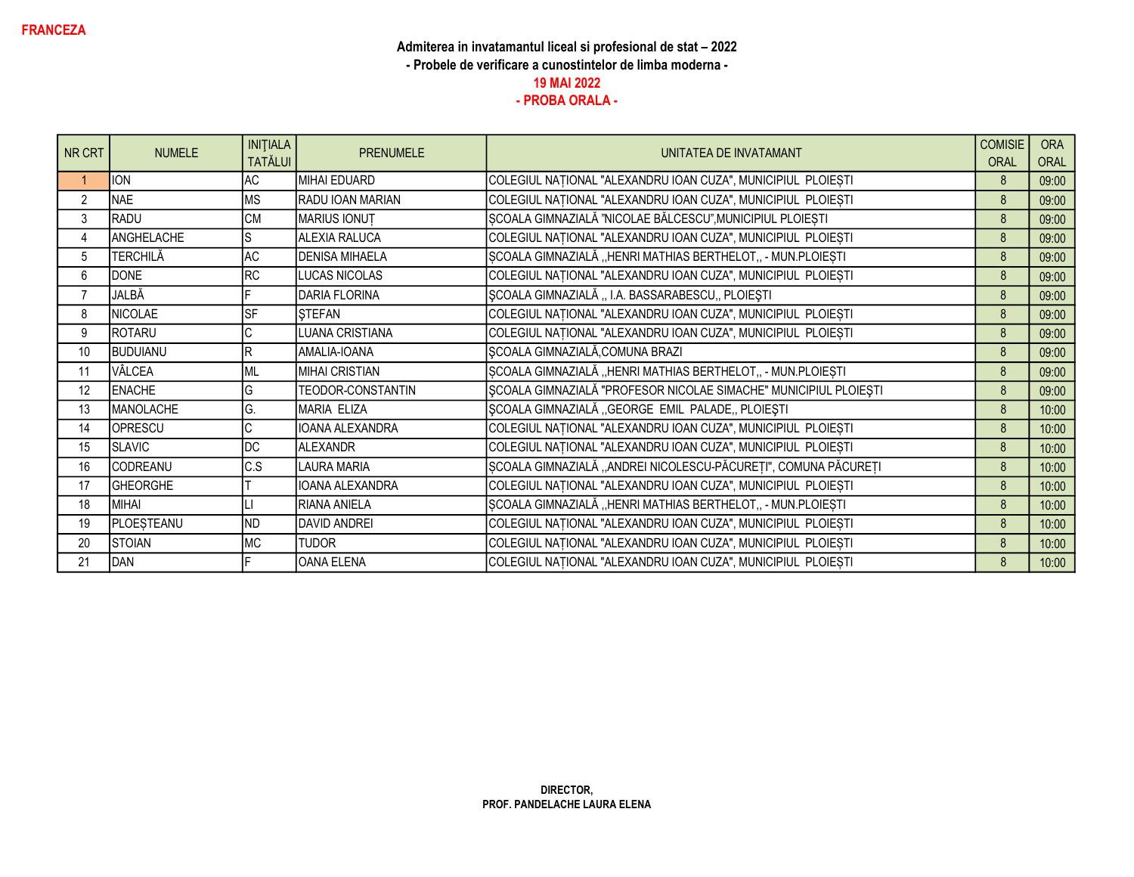| NR CRT         | <b>NUMELE</b>   | <b>INITIALA</b><br><b>TATĂLUI</b> | <b>PRENUMELE</b>       | UNITATEA DE INVATAMANT                                           | <b>COMISIE</b><br><b>ORAL</b> | <b>ORA</b><br>ORAL |
|----------------|-----------------|-----------------------------------|------------------------|------------------------------------------------------------------|-------------------------------|--------------------|
|                | <b>ION</b>      | <b>AC</b>                         | MIHAI EDUARD           | COLEGIUL NAȚIONAL "ALEXANDRU IOAN CUZA", MUNICIPIUL PLOIEȘTI     | 8                             | 09:00              |
| $\overline{2}$ | NAE             | <b>MS</b>                         | RADU IOAN MARIAN       | COLEGIUL NAȚIONAL "ALEXANDRU IOAN CUZA", MUNICIPIUL PLOIEȘTI     | 8                             | 09:00              |
| 3              | RADU            | <b>CM</b>                         | MARIUS IONUT           | SCOALA GIMNAZIALĂ "NICOLAE BĂLCESCU", MUNICIPIUL PLOIEȘTI        | 8                             | 09:00              |
| 4              | ANGHELACHE      | S                                 | ALEXIA RALUCA          | COLEGIUL NAȚIONAL "ALEXANDRU IOAN CUZA", MUNICIPIUL PLOIEȘTI     | 8                             | 09:00              |
| 5              | TERCHILĂ        | AC                                | <b>DENISA MIHAELA</b>  | SCOALA GIMNAZIALĂ "HENRI MATHIAS BERTHELOT,, - MUN.PLOIEȘTI      | 8                             | 09:00              |
| 6              | <b>DONE</b>     | <b>RC</b>                         | LUCAS NICOLAS          | COLEGIUL NAȚIONAL "ALEXANDRU IOAN CUZA", MUNICIPIUL PLOIEȘTI     | 8                             | 09:00              |
| $\overline{7}$ | JALBĂ           |                                   | <b>DARIA FLORINA</b>   | SCOALA GIMNAZIALĂ ,, I.A. BASSARABESCU,, PLOIEȘTI                | 8                             | 09:00              |
| 8              | <b>NICOLAE</b>  | <b>SF</b>                         | <b>STEFAN</b>          | COLEGIUL NAȚIONAL "ALEXANDRU IOAN CUZA", MUNICIPIUL PLOIEȘTI     | 8                             | 09:00              |
| 9              | ROTARU          | C                                 | LUANA CRISTIANA        | COLEGIUL NAȚIONAL "ALEXANDRU IOAN CUZA", MUNICIPIUL PLOIEȘTI     | 8                             | 09:00              |
| 10             | BUDUIANU        | R                                 | AMALIA-IOANA           | SCOALA GIMNAZIALĂ, COMUNA BRAZI                                  | 8                             | 09:00              |
| 11             | VÂLCEA          | ML                                | MIHAI CRISTIAN         | SCOALA GIMNAZIALĂ "HENRI MATHIAS BERTHELOT,, - MUN.PLOIEȘTI      | 8                             | 09:00              |
| 12             | <b>ENACHE</b>   | G                                 | TEODOR-CONSTANTIN      | ȘCOALA GIMNAZIALĂ "PROFESOR NICOLAE SIMACHE" MUNICIPIUL PLOIEȘTI | 8                             | 09:00              |
| 13             | MANOLACHE       | G.                                | <b>MARIA ELIZA</b>     | SCOALA GIMNAZIALĂ "GEORGE EMIL PALADE, PLOIEȘTI                  | 8                             | 10:00              |
| 14             | OPRESCU         | C                                 | <b>IOANA ALEXANDRA</b> | COLEGIUL NAȚIONAL "ALEXANDRU IOAN CUZA", MUNICIPIUL PLOIEȘTI     | 8                             | 10:00              |
| 15             | <b>SLAVIC</b>   | DC                                | <b>ALEXANDR</b>        | COLEGIUL NAȚIONAL "ALEXANDRU IOAN CUZA", MUNICIPIUL PLOIEȘTI     | 8                             | 10:00              |
| 16             | CODREANU        | C.S                               | LAURA MARIA            | ȘCOALA GIMNAZIALĂ "ANDREI NICOLESCU-PĂCUREȚI", COMUNA PĂCUREȚI   | 8                             | 10:00              |
| 17             | <b>GHEORGHE</b> |                                   | IOANA ALEXANDRA        | COLEGIUL NAȚIONAL "ALEXANDRU IOAN CUZA", MUNICIPIUL PLOIEȘTI     | 8                             | 10:00              |
| 18             | MIHAI           |                                   | RIANA ANIELA           | ȘCOALA GIMNAZIALĂ "HENRI MATHIAS BERTHELOT,, - MUN.PLOIEȘTI      | 8                             | 10:00              |
| 19             | PLOESTEANU      | <b>ND</b>                         | <b>DAVID ANDREI</b>    | COLEGIUL NAȚIONAL "ALEXANDRU IOAN CUZA", MUNICIPIUL PLOIEȘTI     | 8                             | 10:00              |
| 20             | <b>STOIAN</b>   | <b>MC</b>                         | <b>TUDOR</b>           | COLEGIUL NAȚIONAL "ALEXANDRU IOAN CUZA", MUNICIPIUL PLOIEȘTI     | 8                             | 10:00              |
| 21             | DAN             |                                   | <b>OANA ELENA</b>      | COLEGIUL NAȚIONAL "ALEXANDRU IOAN CUZA", MUNICIPIUL PLOIEȘTI     | 8                             | 10:00              |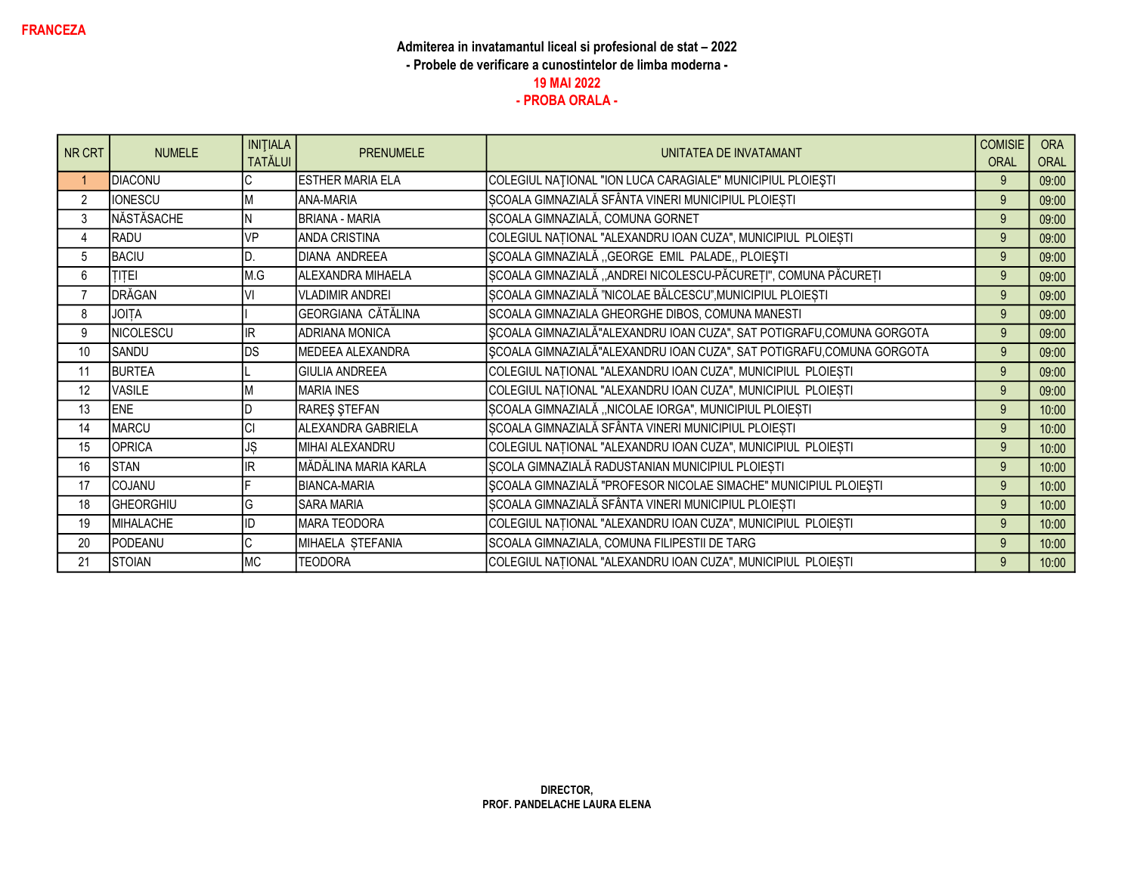| NR CRT         | <b>NUMELE</b>  | <b>INITIALA</b><br><b>TATĂLUI</b> | <b>PRENUMELE</b>          | UNITATEA DE INVATAMANT                                                | <b>COMISIE</b><br><b>ORAL</b> | <b>ORA</b><br>ORAL |
|----------------|----------------|-----------------------------------|---------------------------|-----------------------------------------------------------------------|-------------------------------|--------------------|
|                | <b>DIACONU</b> |                                   | <b>ESTHER MARIA ELA</b>   | COLEGIUL NAȚIONAL "ION LUCA CARAGIALE" MUNICIPIUL PLOIEȘTI            | 9                             | 09:00              |
| 2              | <b>IONESCU</b> |                                   | <b>ANA-MARIA</b>          | ȘCOALA GIMNAZIALĂ SFÂNTA VINERI MUNICIPIUL PLOIEȘTI                   | 9                             | 09:00              |
| 3              | NĂSTĂSACHE     |                                   | <b>BRIANA - MARIA</b>     | SCOALA GIMNAZIALĂ, COMUNA GORNET                                      | 9                             | 09:00              |
| 4              | RADU           | VP                                | <b>ANDA CRISTINA</b>      | COLEGIUL NAȚIONAL "ALEXANDRU IOAN CUZA", MUNICIPIUL PLOIEȘTI          | 9                             | 09:00              |
| 5              | <b>BACIU</b>   |                                   | DIANA ANDREEA             | ȘCOALA GIMNAZIALĂ "GEORGE EMIL PALADE, PLOIEȘTI                       | 9                             | 09:00              |
| 6              | <b>TITEI</b>   | M.G                               | ALEXANDRA MIHAELA         | ȘCOALA GIMNAZIALĂ "ANDREI NICOLESCU-PĂCUREȚI", COMUNA PĂCUREȚI        | 9                             | 09:00              |
| $\overline{7}$ | DRĂGAN         | V١                                | <b>VLADIMIR ANDREI</b>    | SCOALA GIMNAZIALĂ "NICOLAE BĂLCESCU", MUNICIPIUL PLOIEȘTI             | 9                             | 09:00              |
| 8              | <b>JOITA</b>   |                                   | <b>GEORGIANA CĂTĂLINA</b> | SCOALA GIMNAZIALA GHEORGHE DIBOS, COMUNA MANESTI                      | 9                             | 09:00              |
| 9              | NICOLESCU      | IR                                | <b>ADRIANA MONICA</b>     | SCOALA GIMNAZIALĂ"ALEXANDRU IOAN CUZA", SAT POTIGRAFU,COMUNA GORGOTA  | 9                             | 09:00              |
| 10             | SANDU          | DS                                | MEDEEA ALEXANDRA          | SCOALA GIMNAZIALĂ"ALEXANDRU IOAN CUZA", SAT POTIGRAFU, COMUNA GORGOTA | 9                             | 09:00              |
| 11             | <b>BURTEA</b>  |                                   | <b>I</b> GIULIA ANDREEA   | COLEGIUL NAȚIONAL "ALEXANDRU IOAN CUZA", MUNICIPIUL PLOIEȘTI          | 9                             | 09:00              |
| 12             | VASILE         |                                   | <b>MARIA INES</b>         | COLEGIUL NAȚIONAL "ALEXANDRU IOAN CUZA", MUNICIPIUL PLOIEȘTI          | 9                             | 09:00              |
| 13             | <b>ENE</b>     |                                   | RAREŞ ŞTEFAN              | ȘCOALA GIMNAZIALĂ "NICOLAE IORGA", MUNICIPIUL PLOIEȘTI                | 9                             | 10:00              |
| 14             | <b>MARCU</b>   | <b>CI</b>                         | ALEXANDRA GABRIELA        | ȘCOALA GIMNAZIALĂ SFÂNTA VINERI MUNICIPIUL PLOIEȘTI                   | 9                             | 10:00              |
| 15             | <b>OPRICA</b>  | JŞ                                | MIHAI ALEXANDRU           | COLEGIUL NAȚIONAL "ALEXANDRU IOAN CUZA", MUNICIPIUL PLOIEȘTI          | 9                             | 10:00              |
| 16             | <b>STAN</b>    | IR.                               | MĂDĂLINA MARIA KARLA      | ȘCOLA GIMNAZIALĂ RADUSTANIAN MUNICIPIUL PLOIEȘTI                      | 9                             | 10:00              |
| 17             | COJANU         |                                   | <b>BIANCA-MARIA</b>       | ȘCOALA GIMNAZIALĂ "PROFESOR NICOLAE SIMACHE" MUNICIPIUL PLOIEȘTI      | 9                             | 10:00              |
| 18             | GHEORGHIU      | G                                 | <b>SARA MARIA</b>         | ȘCOALA GIMNAZIALĂ SFÂNTA VINERI MUNICIPIUL PLOIEȘTI                   | 9                             | 10:00              |
| 19             | MIHALACHE      |                                   | MARA TEODORA              | COLEGIUL NAȚIONAL "ALEXANDRU IOAN CUZA", MUNICIPIUL PLOIEȘTI          | 9                             | 10:00              |
| 20             | PODEANU        |                                   | MIHAELA STEFANIA          | SCOALA GIMNAZIALA, COMUNA FILIPESTII DE TARG                          | 9                             | 10:00              |
| 21             | <b>STOIAN</b>  | <b>MC</b>                         | <b>TEODORA</b>            | COLEGIUL NAȚIONAL "ALEXANDRU IOAN CUZA", MUNICIPIUL PLOIEȘTI          | 9                             | 10:00              |